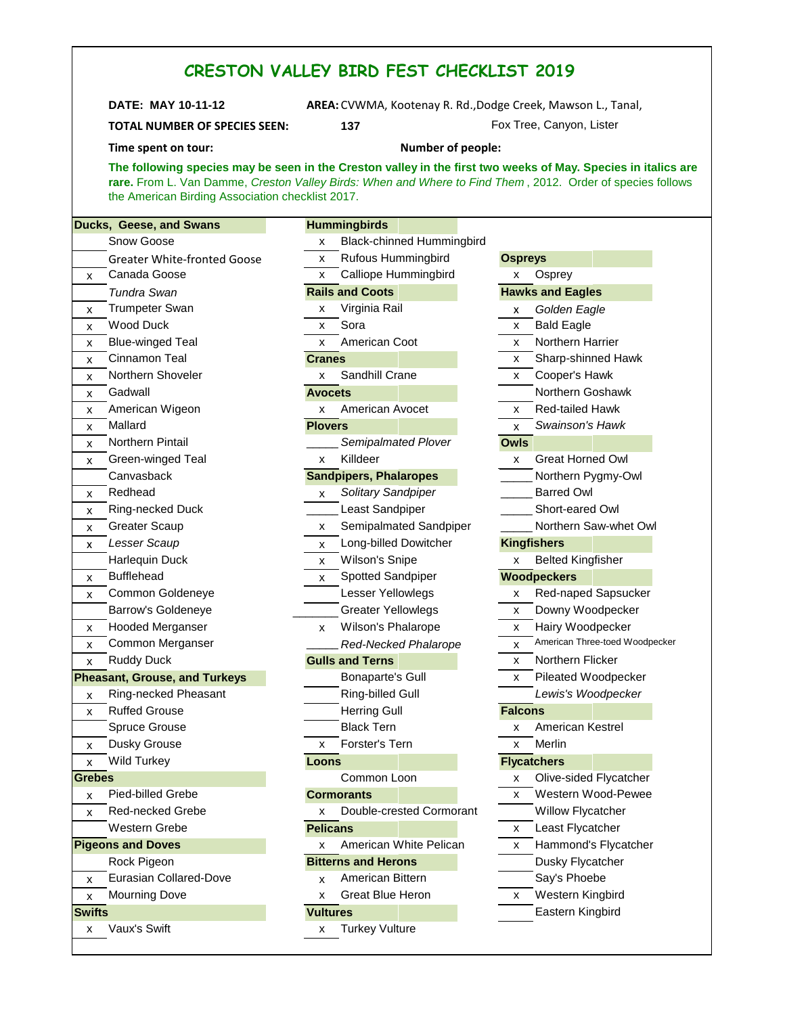| <b>TOTAL NUMBER OF SPECIES SEEN:</b><br>Time spent on tour:                                                                                                                                                                                                                     | 137                                          |                                     |  |  |  |  |
|---------------------------------------------------------------------------------------------------------------------------------------------------------------------------------------------------------------------------------------------------------------------------------|----------------------------------------------|-------------------------------------|--|--|--|--|
|                                                                                                                                                                                                                                                                                 |                                              | Fox Tree, Canyon, Lister            |  |  |  |  |
|                                                                                                                                                                                                                                                                                 | <b>Number of people:</b>                     |                                     |  |  |  |  |
| The following species may be seen in the Creston valley in the first two weeks of May. Species in italics are<br>rare. From L. Van Damme, Creston Valley Birds: When and Where to Find Them, 2012. Order of species follows<br>the American Birding Association checklist 2017. |                                              |                                     |  |  |  |  |
| Ducks, Geese, and Swans                                                                                                                                                                                                                                                         | <b>Hummingbirds</b>                          |                                     |  |  |  |  |
| Snow Goose                                                                                                                                                                                                                                                                      | <b>Black-chinned Hummingbird</b><br><b>X</b> |                                     |  |  |  |  |
| <b>Greater White-fronted Goose</b>                                                                                                                                                                                                                                              | Rufous Hummingbird<br><b>X</b>               | <b>Ospreys</b>                      |  |  |  |  |
| Canada Goose                                                                                                                                                                                                                                                                    | Calliope Hummingbird<br>x                    | Osprey<br>x                         |  |  |  |  |
| Tundra Swan                                                                                                                                                                                                                                                                     | <b>Rails and Coots</b>                       | <b>Hawks and Eagles</b>             |  |  |  |  |
| <b>Trumpeter Swan</b>                                                                                                                                                                                                                                                           | Virginia Rail<br>x                           | Golden Eagle<br>x                   |  |  |  |  |
| Wood Duck                                                                                                                                                                                                                                                                       | Sora<br>$\mathsf{x}$                         | <b>Bald Eagle</b><br>X              |  |  |  |  |
| <b>Blue-winged Teal</b>                                                                                                                                                                                                                                                         | American Coot<br>$\mathsf{X}$                | <b>Northern Harrier</b><br>X        |  |  |  |  |
| Cinnamon Teal                                                                                                                                                                                                                                                                   | <b>Cranes</b>                                | Sharp-shinned Hawk<br>x             |  |  |  |  |
| Northern Shoveler                                                                                                                                                                                                                                                               | Sandhill Crane<br>X                          | Cooper's Hawk<br>x                  |  |  |  |  |
| Gadwall                                                                                                                                                                                                                                                                         | <b>Avocets</b>                               | Northern Goshawk                    |  |  |  |  |
| American Wigeon                                                                                                                                                                                                                                                                 | American Avocet<br>X                         | Red-tailed Hawk<br>x                |  |  |  |  |
| Mallard                                                                                                                                                                                                                                                                         | <b>Plovers</b>                               | Swainson's Hawk<br>X                |  |  |  |  |
| Northern Pintail                                                                                                                                                                                                                                                                | Semipalmated Plover                          | <b>Owls</b>                         |  |  |  |  |
| Green-winged Teal                                                                                                                                                                                                                                                               | Killdeer<br>$\mathsf{x}$                     | <b>Great Horned Owl</b><br>X        |  |  |  |  |
| Canvasback                                                                                                                                                                                                                                                                      | <b>Sandpipers, Phalaropes</b>                | Northern Pygmy-Owl                  |  |  |  |  |
| Redhead                                                                                                                                                                                                                                                                         | Solitary Sandpiper<br><b>X</b>               | <b>Barred Owl</b>                   |  |  |  |  |
| Ring-necked Duck                                                                                                                                                                                                                                                                | Least Sandpiper                              | Short-eared Owl                     |  |  |  |  |
| <b>Greater Scaup</b>                                                                                                                                                                                                                                                            | Semipalmated Sandpiper<br>X.                 | Northern Saw-whet Owl               |  |  |  |  |
| Lesser Scaup                                                                                                                                                                                                                                                                    | Long-billed Dowitcher<br>X                   | <b>Kingfishers</b>                  |  |  |  |  |
| <b>Harlequin Duck</b>                                                                                                                                                                                                                                                           | Wilson's Snipe<br>x                          | <b>Belted Kingfisher</b><br>x       |  |  |  |  |
| <b>Bufflehead</b>                                                                                                                                                                                                                                                               | Spotted Sandpiper<br>$\mathsf{x}$            | <b>Woodpeckers</b>                  |  |  |  |  |
| Common Goldeneye                                                                                                                                                                                                                                                                | Lesser Yellowlegs                            | Red-naped Sapsucker<br>x            |  |  |  |  |
| <b>Barrow's Goldeneye</b>                                                                                                                                                                                                                                                       | <b>Greater Yellowlegs</b>                    | Downy Woodpecker<br>x               |  |  |  |  |
| Hooded Merganser                                                                                                                                                                                                                                                                | Wilson's Phalarope<br>$\mathsf{X}$           | $\overline{x}$ Hairy Woodpecker     |  |  |  |  |
| Common Merganser                                                                                                                                                                                                                                                                | Red-Necked Phalarope                         | American Three-toed Woodpecker<br>х |  |  |  |  |
| <b>Ruddy Duck</b>                                                                                                                                                                                                                                                               | <b>Gulls and Terns</b>                       | Northern Flicker<br>x               |  |  |  |  |
| <b>Pheasant, Grouse, and Turkeys</b>                                                                                                                                                                                                                                            | <b>Bonaparte's Gull</b>                      | Pileated Woodpecker<br>x            |  |  |  |  |
| Ring-necked Pheasant                                                                                                                                                                                                                                                            | Ring-billed Gull                             | Lewis's Woodpecker                  |  |  |  |  |
| <b>Ruffed Grouse</b>                                                                                                                                                                                                                                                            | <b>Herring Gull</b>                          | <b>Falcons</b>                      |  |  |  |  |
| Spruce Grouse                                                                                                                                                                                                                                                                   | <b>Black Tern</b>                            | American Kestrel<br>x               |  |  |  |  |
| Dusky Grouse                                                                                                                                                                                                                                                                    | Forster's Tern<br>x                          | Merlin<br>X                         |  |  |  |  |
| <b>Wild Turkey</b>                                                                                                                                                                                                                                                              | Loons                                        | <b>Flycatchers</b>                  |  |  |  |  |
| <b>Grebes</b>                                                                                                                                                                                                                                                                   | Common Loon                                  | Olive-sided Flycatcher<br>x         |  |  |  |  |
| Pied-billed Grebe                                                                                                                                                                                                                                                               | <b>Cormorants</b>                            | Western Wood-Pewee<br>X             |  |  |  |  |
| Red-necked Grebe                                                                                                                                                                                                                                                                | Double-crested Cormorant<br>x                | Willow Flycatcher                   |  |  |  |  |
| Western Grebe                                                                                                                                                                                                                                                                   | <b>Pelicans</b>                              | Least Flycatcher<br>x               |  |  |  |  |
| <b>Pigeons and Doves</b>                                                                                                                                                                                                                                                        | American White Pelican<br>x                  | Hammond's Flycatcher<br>x           |  |  |  |  |
| Rock Pigeon                                                                                                                                                                                                                                                                     | <b>Bitterns and Herons</b>                   | Dusky Flycatcher                    |  |  |  |  |
| Eurasian Collared-Dove                                                                                                                                                                                                                                                          | American Bittern<br>x                        | Say's Phoebe                        |  |  |  |  |
| <b>Mourning Dove</b>                                                                                                                                                                                                                                                            | Great Blue Heron<br>х                        | Western Kingbird<br>x               |  |  |  |  |